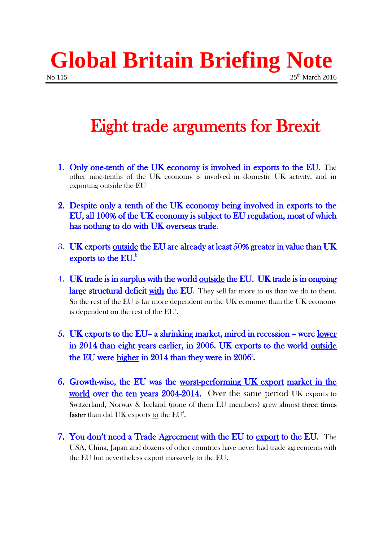**Global Britain Briefing Note** No 115 25th March 2016

## Eight trade arguments for Brexit

- 1. Only one-tenth of the UK economy is involved in exports to the EU. The other nine-tenths of the UK economy is involved in domestic UK activity, and in exporting outside the  $EU^*$
- 2. Despite only a tenth of the UK economy being involved in exports to the EU, all 100% of the UK economy is subject to EU regulation, most of which has nothing to do with UK overseas trade.
- 3. UK exports outside the EU are already at least 50% greater in value than UK exports  $\underline{\text{to}}$  the EU.<sup>b</sup>
- 4. UK trade is in surplus with the world outside the EU. UK trade is in ongoing **large structural deficit with the EU.** They sell far more to us than we do to them. So the rest of the EU is far more dependent on the UK economy than the UK economy is dependent on the rest of the  $EU<sup>b</sup>$ .
- 5. UK exports to the EU– a shrinking market, mired in recession were lower in 2014 than eight years earlier, in 2006. UK exports to the world outside the EU were  $higher$  in 2014 than they were in 2006<sup> $\circ$ </sup>.</u>
- 6. Growth-wise, the EU was the worst-performing UK export market in the world over the ten years 2004-2014. Over the same period UK exports to Switzerland, Norway & Iceland (none of them EU members) grew almost three times faster than did UK exports to the  $EU<sup>d</sup>$ .
- 7. You don't need a Trade Agreement with the EU to export to the EU. The USA, China, Japan and dozens of other countries have never had trade agreements with the EU but nevertheless export massively to the EU.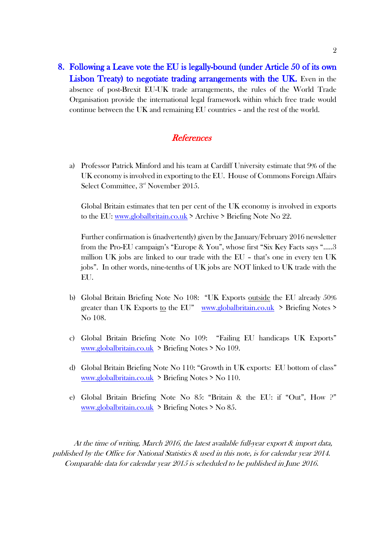8. Following a Leave vote the EU is legally-bound (under Article 50 of its own Lisbon Treaty) to negotiate trading arrangements with the UK. Even in the absence of post-Brexit EU-UK trade arrangements, the rules of the World Trade Organisation provide the international legal framework within which free trade would continue between the UK and remaining EU countries – and the rest of the world.

## **References**

a) Professor Patrick Minford and his team at Cardiff University estimate that 9% of the UK economy is involved in exporting to the EU. House of Commons Foreign Affairs Select Committee, 3<sup>rd</sup> November 2015.

Global Britain estimates that ten per cent of the UK economy is involved in exports to the EU: [www.globalbritain.co.uk](http://www.globalbritain.co.uk/) > Archive > Briefing Note No 22.

Further confirmation is (inadvertently) given by the January/February 2016 newsletter from the Pro-EU campaign's "Europe & You", whose first "Six Key Facts says "…..3 million UK jobs are linked to our trade with the EU – that's one in every ten UK jobs". In other words, nine-tenths of UK jobs are NOT linked to UK trade with the EU.

- b) Global Britain Briefing Note No 108: "UK Exports outside the EU already 50% greater than UK Exports to the EU" [www.globalbritain.co.uk](http://www.globalbritain.co.uk/) > Briefing Notes > No 108.
- c) Global Britain Briefing Note No 109: "Failing EU handicaps UK Exports" [www.globalbritain.co.uk](http://www.globalbritain.co.uk/) > Briefing Notes > No 109.
- d) Global Britain Briefing Note No 110: "Growth in UK exports: EU bottom of class" [www.globalbritain.co.uk](http://www.globalbritain.co.uk/) > Briefing Notes > No 110.
- e) Global Britain Briefing Note No 85: "Britain & the EU: if "Out", How ?" [www.globalbritain.co.uk](http://www.globalbritain.co.uk/) > Briefing Notes > No 85.

At the time of writing, March 2016, the latest available full-year export & import data, published by the Office for National Statistics & used in this note, is for calendar year 2014. Comparable data for calendar year 2015 is scheduled to be published in June 2016.